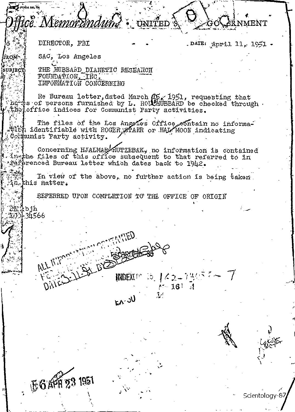UNITED<sup>3</sup> e Memorandum? **&RNMENT** DIRECTOR, FBI .DATE: April 11, 1951 -SAC, Los Angeles **FROM-**THE HUBBARD DIANETIC RESEARCH **SUBJEC** FOUNDATION, INC. INFORMATION CONCERNING And The Bureau letter, dated March (16, 1951, requesting that<br>Thomes of persons furnished by L. ROUCHUBBARD be checked through<br>A the office indices for Communist Party activities. The files of the Los Angeles Office eontain no informa-Atth identifiable with ROGER STARR or HAL MOON indicating Cormunist Party activity. Concerning HJALMARAUTZEBAK, no information is contained insthe files of this office subsequent to that referred to in \*#efferenced Bureau letter which dates back to 1942. In view of the above, no further action is being taken in this matter. REFERRED UPON COMPLETION TO THE OFFICE OF ORIGIN 23 bjh<br>21 34566 ALL INFORM INDEXUP 25 インエフス DAICS  $-16!$   $1$ **UC**-AZ **EGAR 23 1951** 

Scientology-87